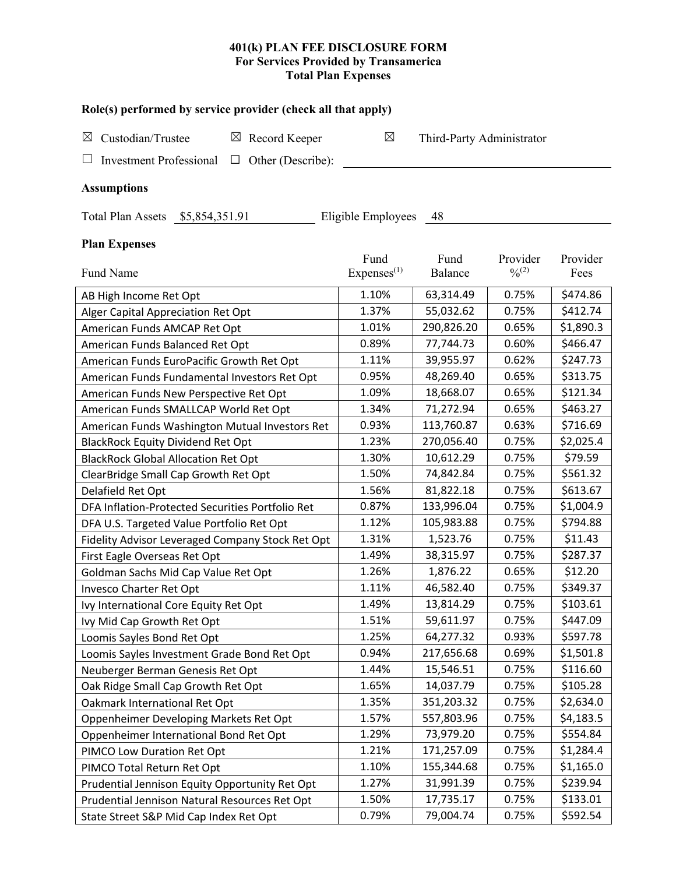# **401(k) PLAN FEE DISCLOSURE FORM For Services Provided by Transamerica Total Plan Expenses**

| Role(s) performed by service provider (check all that apply)  |                        |                           |             |           |  |  |  |
|---------------------------------------------------------------|------------------------|---------------------------|-------------|-----------|--|--|--|
| Custodian/Trustee<br>$\boxtimes$ Record Keeper<br>⊠           | $\boxtimes$            | Third-Party Administrator |             |           |  |  |  |
|                                                               |                        |                           |             |           |  |  |  |
| Other (Describe):<br><b>Investment Professional</b><br>$\Box$ |                        |                           |             |           |  |  |  |
| <b>Assumptions</b>                                            |                        |                           |             |           |  |  |  |
| Total Plan Assets \$5,854,351.91                              | Eligible Employees     | 48                        |             |           |  |  |  |
| <b>Plan Expenses</b>                                          |                        |                           |             |           |  |  |  |
|                                                               | Fund                   | Fund                      | Provider    | Provider  |  |  |  |
| Fund Name                                                     | Express <sup>(1)</sup> | Balance                   | $0/0^{(2)}$ | Fees      |  |  |  |
| AB High Income Ret Opt                                        | 1.10%                  | 63,314.49                 | 0.75%       | \$474.86  |  |  |  |
| Alger Capital Appreciation Ret Opt                            | 1.37%                  | 55,032.62                 | 0.75%       | \$412.74  |  |  |  |
| American Funds AMCAP Ret Opt                                  | 1.01%                  | 290,826.20                | 0.65%       | \$1,890.3 |  |  |  |
| American Funds Balanced Ret Opt                               | 0.89%                  | 77,744.73                 | 0.60%       | \$466.47  |  |  |  |
| American Funds EuroPacific Growth Ret Opt                     | 1.11%                  | 39,955.97                 | 0.62%       | \$247.73  |  |  |  |
| American Funds Fundamental Investors Ret Opt                  | 0.95%                  | 48,269.40                 | 0.65%       | \$313.75  |  |  |  |
| American Funds New Perspective Ret Opt                        | 1.09%                  | 18,668.07                 | 0.65%       | \$121.34  |  |  |  |
| American Funds SMALLCAP World Ret Opt                         | 1.34%                  | 71,272.94                 | 0.65%       | \$463.27  |  |  |  |
| American Funds Washington Mutual Investors Ret                | 0.93%                  | 113,760.87                | 0.63%       | \$716.69  |  |  |  |
| <b>BlackRock Equity Dividend Ret Opt</b>                      | 1.23%                  | 270,056.40                | 0.75%       | \$2,025.4 |  |  |  |
| <b>BlackRock Global Allocation Ret Opt</b>                    | 1.30%                  | 10,612.29                 | 0.75%       | \$79.59   |  |  |  |
| ClearBridge Small Cap Growth Ret Opt                          | 1.50%                  | 74,842.84                 | 0.75%       | \$561.32  |  |  |  |
| Delafield Ret Opt                                             | 1.56%                  | 81,822.18                 | 0.75%       | \$613.67  |  |  |  |
| DFA Inflation-Protected Securities Portfolio Ret              | 0.87%                  | 133,996.04                | 0.75%       | \$1,004.9 |  |  |  |
| DFA U.S. Targeted Value Portfolio Ret Opt                     | 1.12%                  | 105,983.88                | 0.75%       | \$794.88  |  |  |  |
| Fidelity Advisor Leveraged Company Stock Ret Opt              | 1.31%                  | 1,523.76                  | 0.75%       | \$11.43   |  |  |  |
| First Eagle Overseas Ret Opt                                  | 1.49%                  | 38,315.97                 | 0.75%       | \$287.37  |  |  |  |
| Goldman Sachs Mid Cap Value Ret Opt                           | 1.26%                  | 1,876.22                  | 0.65%       | \$12.20   |  |  |  |
| <b>Invesco Charter Ret Opt</b>                                | 1.11%                  | 46,582.40                 | 0.75%       | \$349.37  |  |  |  |
| Ivy International Core Equity Ret Opt                         | 1.49%                  | 13,814.29                 | 0.75%       | \$103.61  |  |  |  |
| Ivy Mid Cap Growth Ret Opt                                    | 1.51%                  | 59,611.97                 | 0.75%       | \$447.09  |  |  |  |
| Loomis Sayles Bond Ret Opt                                    | 1.25%                  | 64,277.32                 | 0.93%       | \$597.78  |  |  |  |
| Loomis Sayles Investment Grade Bond Ret Opt                   | 0.94%                  | 217,656.68                | 0.69%       | \$1,501.8 |  |  |  |
| Neuberger Berman Genesis Ret Opt                              | 1.44%                  | 15,546.51                 | 0.75%       | \$116.60  |  |  |  |
| Oak Ridge Small Cap Growth Ret Opt                            | 1.65%                  | 14,037.79                 | 0.75%       | \$105.28  |  |  |  |
| Oakmark International Ret Opt                                 | 1.35%                  | 351,203.32                | 0.75%       | \$2,634.0 |  |  |  |
| Oppenheimer Developing Markets Ret Opt                        | 1.57%                  | 557,803.96                | 0.75%       | \$4,183.5 |  |  |  |
| Oppenheimer International Bond Ret Opt                        | 1.29%                  | 73,979.20                 | 0.75%       | \$554.84  |  |  |  |
| PIMCO Low Duration Ret Opt                                    | 1.21%                  | 171,257.09                | 0.75%       | \$1,284.4 |  |  |  |
| PIMCO Total Return Ret Opt                                    | 1.10%                  | 155,344.68                | 0.75%       | \$1,165.0 |  |  |  |
| Prudential Jennison Equity Opportunity Ret Opt                | 1.27%                  | 31,991.39                 | 0.75%       | \$239.94  |  |  |  |
| Prudential Jennison Natural Resources Ret Opt                 | 1.50%                  | 17,735.17                 | 0.75%       | \$133.01  |  |  |  |

State Street S&P Mid Cap Index Ret Opt 0.79% 79,004.74 0.75% \$592.54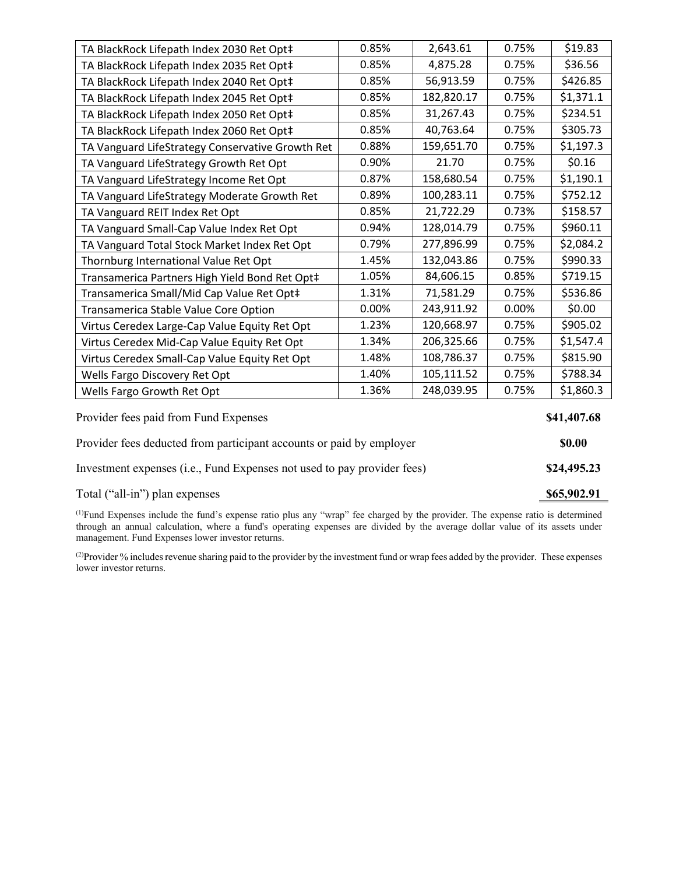| TA BlackRock Lifepath Index 2030 Ret Opt‡        | 0.85% | 2,643.61   | 0.75% | \$19.83     |
|--------------------------------------------------|-------|------------|-------|-------------|
| TA BlackRock Lifepath Index 2035 Ret Opt‡        | 0.85% | 4,875.28   | 0.75% | \$36.56     |
| TA BlackRock Lifepath Index 2040 Ret Opt‡        | 0.85% | 56,913.59  | 0.75% | \$426.85    |
| TA BlackRock Lifepath Index 2045 Ret Opt‡        | 0.85% | 182,820.17 | 0.75% | \$1,371.1   |
| TA BlackRock Lifepath Index 2050 Ret Opt‡        | 0.85% | 31,267.43  | 0.75% | \$234.51    |
| TA BlackRock Lifepath Index 2060 Ret Opt‡        | 0.85% | 40,763.64  | 0.75% | \$305.73    |
| TA Vanguard LifeStrategy Conservative Growth Ret | 0.88% | 159,651.70 | 0.75% | \$1,197.3   |
| TA Vanguard LifeStrategy Growth Ret Opt          | 0.90% | 21.70      | 0.75% | \$0.16      |
| TA Vanguard LifeStrategy Income Ret Opt          | 0.87% | 158,680.54 | 0.75% | \$1,190.1   |
| TA Vanguard LifeStrategy Moderate Growth Ret     | 0.89% | 100,283.11 | 0.75% | \$752.12    |
| TA Vanguard REIT Index Ret Opt                   | 0.85% | 21,722.29  | 0.73% | \$158.57    |
| TA Vanguard Small-Cap Value Index Ret Opt        | 0.94% | 128,014.79 | 0.75% | \$960.11    |
| TA Vanguard Total Stock Market Index Ret Opt     | 0.79% | 277,896.99 | 0.75% | \$2,084.2   |
| Thornburg International Value Ret Opt            | 1.45% | 132,043.86 | 0.75% | \$990.33    |
| Transamerica Partners High Yield Bond Ret Opt‡   | 1.05% | 84,606.15  | 0.85% | \$719.15    |
| Transamerica Small/Mid Cap Value Ret Opt‡        | 1.31% | 71,581.29  | 0.75% | \$536.86    |
| Transamerica Stable Value Core Option            | 0.00% | 243,911.92 | 0.00% | \$0.00      |
| Virtus Ceredex Large-Cap Value Equity Ret Opt    | 1.23% | 120,668.97 | 0.75% | \$905.02    |
| Virtus Ceredex Mid-Cap Value Equity Ret Opt      | 1.34% | 206,325.66 | 0.75% | \$1,547.4   |
| Virtus Ceredex Small-Cap Value Equity Ret Opt    | 1.48% | 108,786.37 | 0.75% | \$815.90    |
| Wells Fargo Discovery Ret Opt                    | 1.40% | 105,111.52 | 0.75% | \$788.34    |
| Wells Fargo Growth Ret Opt                       | 1.36% | 248,039.95 | 0.75% | \$1,860.3   |
| Provider fees paid from Fund Expenses            |       |            |       | \$41,407.68 |

| Provider fees deducted from participant accounts or paid by employer    | \$0.00      |  |  |
|-------------------------------------------------------------------------|-------------|--|--|
| Investment expenses (i.e., Fund Expenses not used to pay provider fees) | \$24,495.23 |  |  |

## Total ("all-in") plan expenses **\$65,902.91**

(1) Fund Expenses include the fund's expense ratio plus any "wrap" fee charged by the provider. The expense ratio is determined through an annual calculation, where a fund's operating expenses are divided by the average dollar value of its assets under management. Fund Expenses lower investor returns.

(2) Provider % includes revenue sharing paid to the provider by the investment fund or wrap fees added by the provider. These expenses lower investor returns.